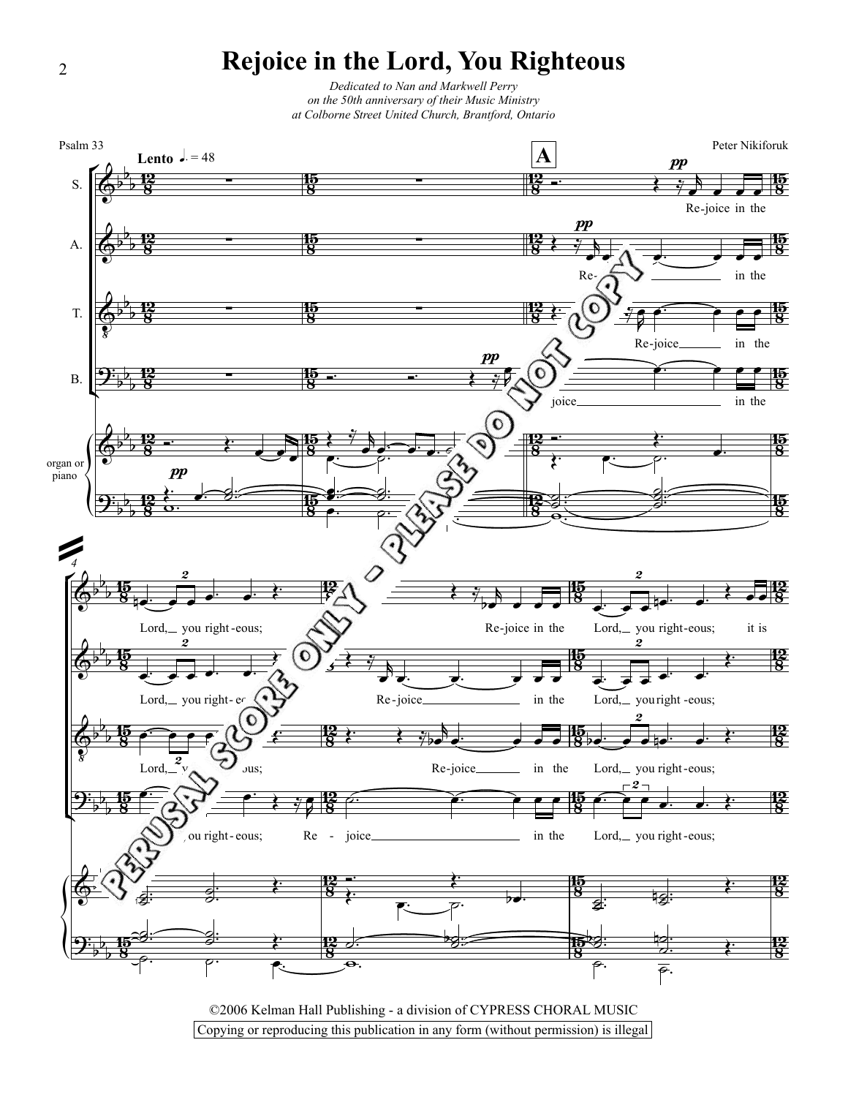**Rejoice in the Lord, You Righteous**

*Dedicated to Nan and Markwell Perry on the 50th anniversary oftheir Music Ministry at Colborne Street United Church, Brantford, Ontario*



©2006 Kelman Hall Publishing - a division of CYPRESS CHORAL MUSIC Copying or reproducing this publication in any form (without permission) is illegal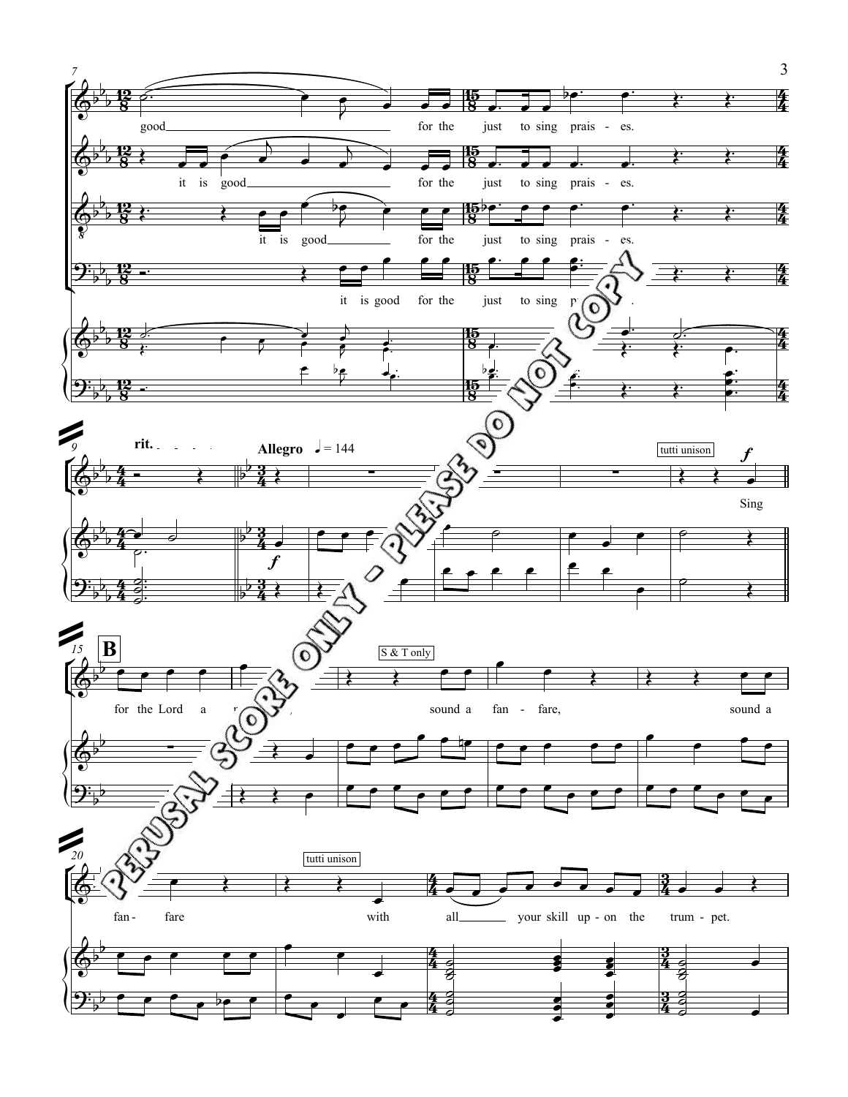